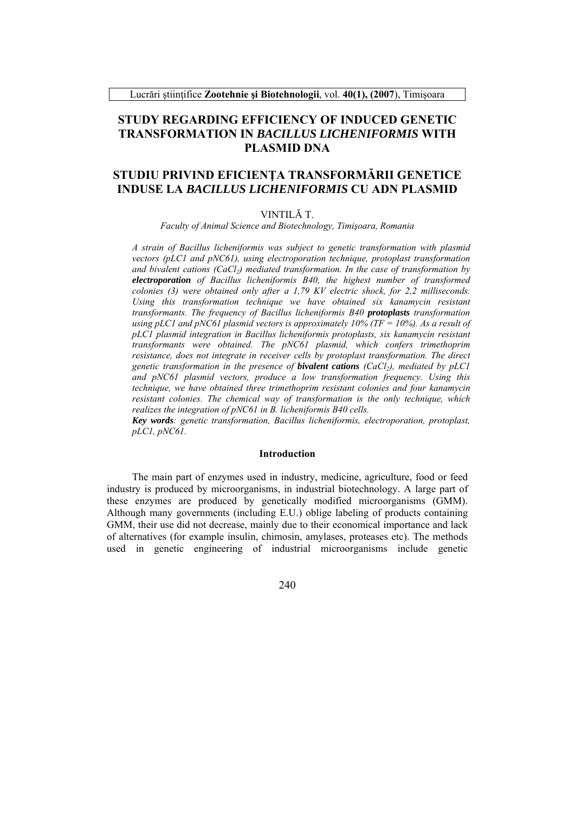Lucrări stiintifice Zootehnie și Biotehnologii, vol. 40(1), (2007), Timișoara

## **STUDY REGARDING EFFICIENCY OF INDUCED GENETIC TRANSFORMATION IN BACILLUS LICHENIFORMIS WITH PLASMID DNA**

# STUDIU PRIVIND EFICIENTA TRANSFORMĂRII GENETICE **INDUSE LA BACILLUS LICHENIFORMIS CU ADN PLASMID**

### VINTILĂ T

Faculty of Animal Science and Biotechnology, Timișoara, Romania

A strain of Bacillus licheniformis was subject to genetic transformation with plasmid vectors (pLC1 and pNC61), using electroporation technique, protoplast transformation and bivalent cations  $(CaCl<sub>2</sub>)$  mediated transformation. In the case of transformation by electroporation of Bacillus licheniformis B40, the highest number of transformed colonies (3) were obtained only after a 1,79 KV electric shock, for 2,2 milliseconds. Using this transformation technique we have obtained six kanamycin resistant transformants. The frequency of Bacillus licheniformis B40 protoplasts transformation using pLC1 and pNC61 plasmid vectors is approximately 10% (TF = 10%). As a result of pLCI plasmid integration in Bacillus licheniformis protoplasts, six kanamycin resistant transformants were obtained. The pNC61 plasmid, which confers trimethoprim resistance, does not integrate in receiver cells by protoplast transformation. The direct genetic transformation in the presence of **bivalent cations**  $(CaCl<sub>2</sub>)$ , mediated by pLC1 and pNC61 plasmid vectors, produce a low transformation frequency. Using this technique, we have obtained three trimethoprim resistant colonies and four kanamycin resistant colonies. The chemical way of transformation is the only technique, which realizes the integration of  $pNCG1$  in B. licheniformis B40 cells.

Key words: genetic transformation, Bacillus licheniformis, electroporation, protoplast,  $pLCl$ ,  $pNC6I$ .

### **Introduction**

The main part of enzymes used in industry, medicine, agriculture, food or feed industry is produced by microorganisms, in industrial biotechnology. A large part of these enzymes are produced by genetically modified microorganisms (GMM). Although many governments (including E.U.) oblige labeling of products containing GMM, their use did not decrease, mainly due to their economical importance and lack of alternatives (for example insulin, chimosin, amylases, proteases etc). The methods used in genetic engineering of industrial microorganisms include genetic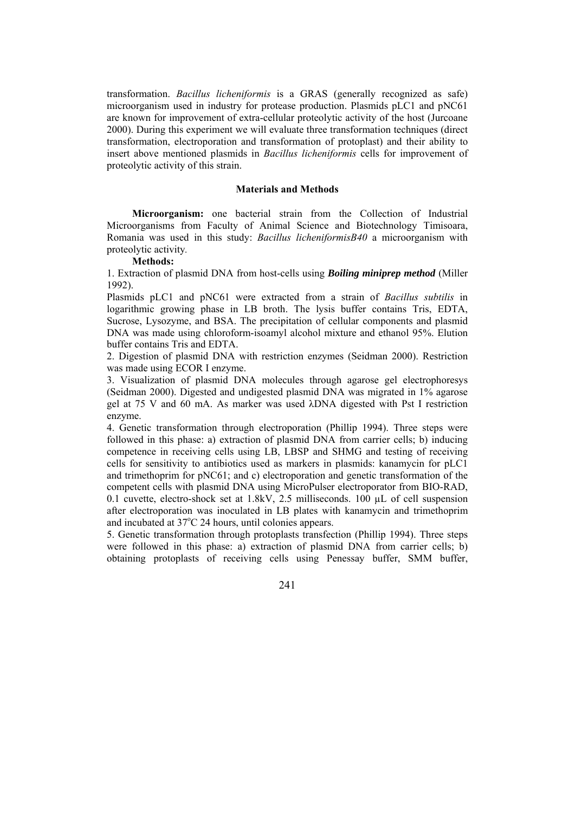transformation. *Bacillus licheniformis* is a GRAS (generally recognized as safe) microorganism used in industry for protease production. Plasmids pLC1 and pNC61 are known for improvement of extra-cellular proteolytic activity of the host (Jurcoane 2000). During this experiment we will evaluate three transformation techniques (direct transformation, electroporation and transformation of protoplast) and their ability to insert above mentioned plasmids in *Bacillus licheniformis* cells for improvement of proteolytic activity of this strain.

#### **Materials and Methods**

**Microorganism:** one bacterial strain from the Collection of Industrial Microorganisms from Faculty of Animal Science and Biotechnology Timisoara, Romania was used in this study: *Bacillus licheniformisB40* a microorganism with proteolytic activity*.*

### **Methods:**

1. Extraction of plasmid DNA from host-cells using *Boiling miniprep method* (Miller 1992).

Plasmids pLC1 and pNC61 were extracted from a strain of *Bacillus subtilis* in logarithmic growing phase in LB broth. The lysis buffer contains Tris, EDTA, Sucrose, Lysozyme, and BSA. The precipitation of cellular components and plasmid DNA was made using chloroform-isoamyl alcohol mixture and ethanol 95%. Elution buffer contains Tris and EDTA.

2. Digestion of plasmid DNA with restriction enzymes (Seidman 2000). Restriction was made using ECOR I enzyme.

3. Visualization of plasmid DNA molecules through agarose gel electrophoresys (Seidman 2000). Digested and undigested plasmid DNA was migrated in 1% agarose gel at 75 V and 60 mA. As marker was used λDNA digested with Pst I restriction enzyme.

4. Genetic transformation through electroporation (Phillip 1994). Three steps were followed in this phase: a) extraction of plasmid DNA from carrier cells; b) inducing competence in receiving cells using LB, LBSP and SHMG and testing of receiving cells for sensitivity to antibiotics used as markers in plasmids: kanamycin for pLC1 and trimethoprim for pNC61; and c) electroporation and genetic transformation of the competent cells with plasmid DNA using MicroPulser electroporator from BIO-RAD, 0.1 cuvette, electro-shock set at 1.8kV, 2.5 milliseconds. 100 µL of cell suspension after electroporation was inoculated in LB plates with kanamycin and trimethoprim and incubated at 37°C 24 hours, until colonies appears.

5. Genetic transformation through protoplasts transfection (Phillip 1994). Three steps were followed in this phase: a) extraction of plasmid DNA from carrier cells; b) obtaining protoplasts of receiving cells using Penessay buffer, SMM buffer,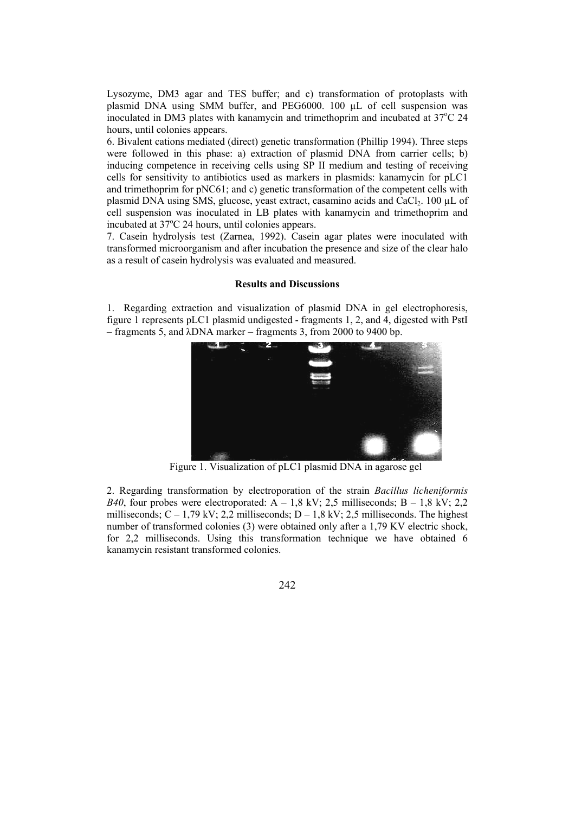Lysozyme, DM3 agar and TES buffer; and c) transformation of protoplasts with plasmid DNA using SMM buffer, and PEG6000. 100 µL of cell suspension was inoculated in DM3 plates with kanamycin and trimethoprim and incubated at  $37^{\circ}$ C 24 hours, until colonies appears.

6. Bivalent cations mediated (direct) genetic transformation (Phillip 1994). Three steps were followed in this phase: a) extraction of plasmid DNA from carrier cells; b) inducing competence in receiving cells using SP II medium and testing of receiving cells for sensitivity to antibiotics used as markers in plasmids: kanamycin for pLC1 and trimethoprim for pNC61; and c) genetic transformation of the competent cells with plasmid DNA using SMS, glucose, yeast extract, casamino acids and CaCl<sub>2</sub>. 100 µL of cell suspension was inoculated in LB plates with kanamycin and trimethoprim and incubated at 37°C 24 hours, until colonies appears.

7. Casein hydrolysis test (Zarnea, 1992). Casein agar plates were inoculated with transformed microorganism and after incubation the presence and size of the clear halo as a result of casein hydrolysis was evaluated and measured.

#### **Results and Discussions**

1. Regarding extraction and visualization of plasmid DNA in gel electrophoresis, figure 1 represents pLC1 plasmid undigested - fragments 1, 2, and 4, digested with PstI – fragments 5, and λDNA marker – fragments 3, from 2000 to 9400 bp.



Figure 1. Visualization of pLC1 plasmid DNA in agarose gel

2. Regarding transformation by electroporation of the strain *Bacillus licheniformis B40*, four probes were electroporated:  $\overline{A}$  – 1,8 kV; 2,5 milliseconds;  $\overline{B}$  – 1,8 kV; 2,2 milliseconds;  $C - 1.79$  kV; 2.2 milliseconds;  $D - 1.8$  kV; 2.5 milliseconds. The highest number of transformed colonies (3) were obtained only after a 1,79 KV electric shock, for 2,2 milliseconds. Using this transformation technique we have obtained 6 kanamycin resistant transformed colonies.

242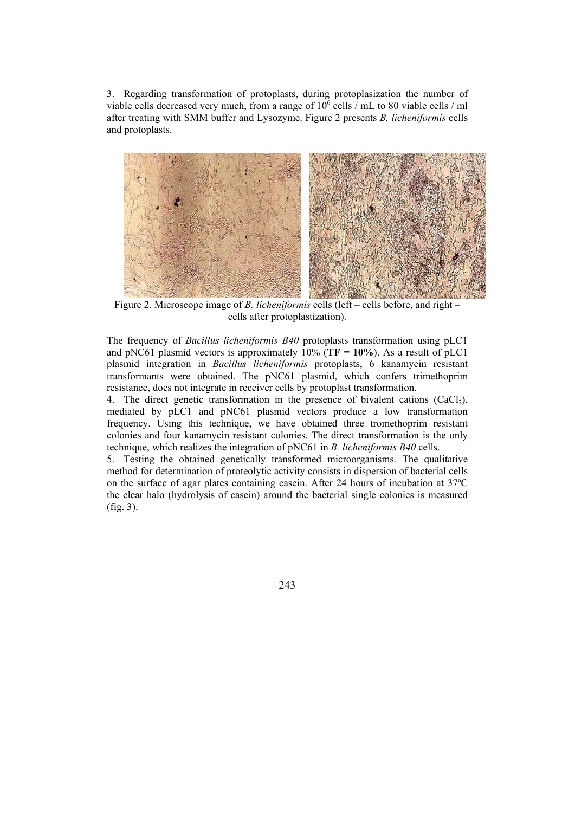3. Regarding transformation of protoplasts, during protoplasization the number of viable cells decreased very much, from a range of  $10^6$  cells / mL to 80 viable cells / ml after treating with SMM buffer and Lysozyme. Figure 2 presents *B. licheniformis* cells and protoplasts.



Figure 2. Microscope image of *B. licheniformis* cells (left – cells before, and right – cells after protoplastization).

The frequency of *Bacillus licheniformis B40* protoplasts transformation using pLC1 and pNC61 plasmid vectors is approximately 10% (**TF = 10%**). As a result of pLC1 plasmid integration in *Bacillus licheniformis* protoplasts, 6 kanamycin resistant transformants were obtained. The pNC61 plasmid, which confers trimethoprim resistance, does not integrate in receiver cells by protoplast transformation.

4. The direct genetic transformation in the presence of bivalent cations  $(CaCl<sub>2</sub>)$ , mediated by pLC1 and pNC61 plasmid vectors produce a low transformation frequency. Using this technique, we have obtained three tromethoprim resistant colonies and four kanamycin resistant colonies. The direct transformation is the only technique, which realizes the integration of pNC61 in *B. licheniformis B40* cells.

5. Testing the obtained genetically transformed microorganisms. The qualitative method for determination of proteolytic activity consists in dispersion of bacterial cells on the surface of agar plates containing casein. After 24 hours of incubation at 37ºC the clear halo (hydrolysis of casein) around the bacterial single colonies is measured (fig. 3).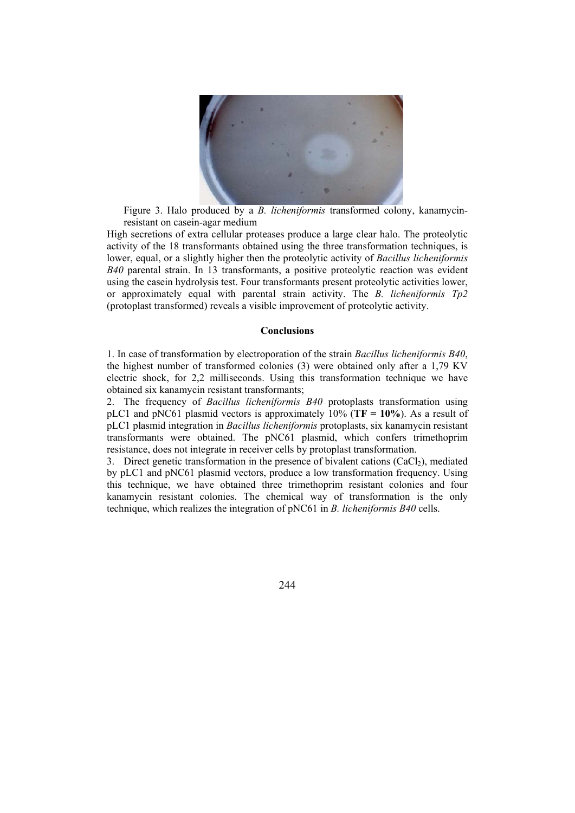

Figure 3. Halo produced by a *B. licheniformis* transformed colony, kanamycinresistant on casein-agar medium

High secretions of extra cellular proteases produce a large clear halo. The proteolytic activity of the 18 transformants obtained using the three transformation techniques, is lower, equal, or a slightly higher then the proteolytic activity of *Bacillus licheniformis B40* parental strain. In 13 transformants, a positive proteolytic reaction was evident using the casein hydrolysis test. Four transformants present proteolytic activities lower, or approximately equal with parental strain activity. The *B. licheniformis Tp2* (protoplast transformed) reveals a visible improvement of proteolytic activity.

#### **Conclusions**

1. In case of transformation by electroporation of the strain *Bacillus licheniformis B40*, the highest number of transformed colonies (3) were obtained only after a 1,79 KV electric shock, for 2,2 milliseconds. Using this transformation technique we have obtained six kanamycin resistant transformants;

2. The frequency of *Bacillus licheniformis B40* protoplasts transformation using pLC1 and pNC61 plasmid vectors is approximately 10% (**TF = 10%**). As a result of pLC1 plasmid integration in *Bacillus licheniformis* protoplasts, six kanamycin resistant transformants were obtained. The pNC61 plasmid, which confers trimethoprim resistance, does not integrate in receiver cells by protoplast transformation.

3. Direct genetic transformation in the presence of bivalent cations  $(CaCl<sub>2</sub>)$ , mediated by pLC1 and pNC61 plasmid vectors, produce a low transformation frequency. Using this technique, we have obtained three trimethoprim resistant colonies and four kanamycin resistant colonies. The chemical way of transformation is the only technique, which realizes the integration of pNC61 in *B. licheniformis B40* cells.